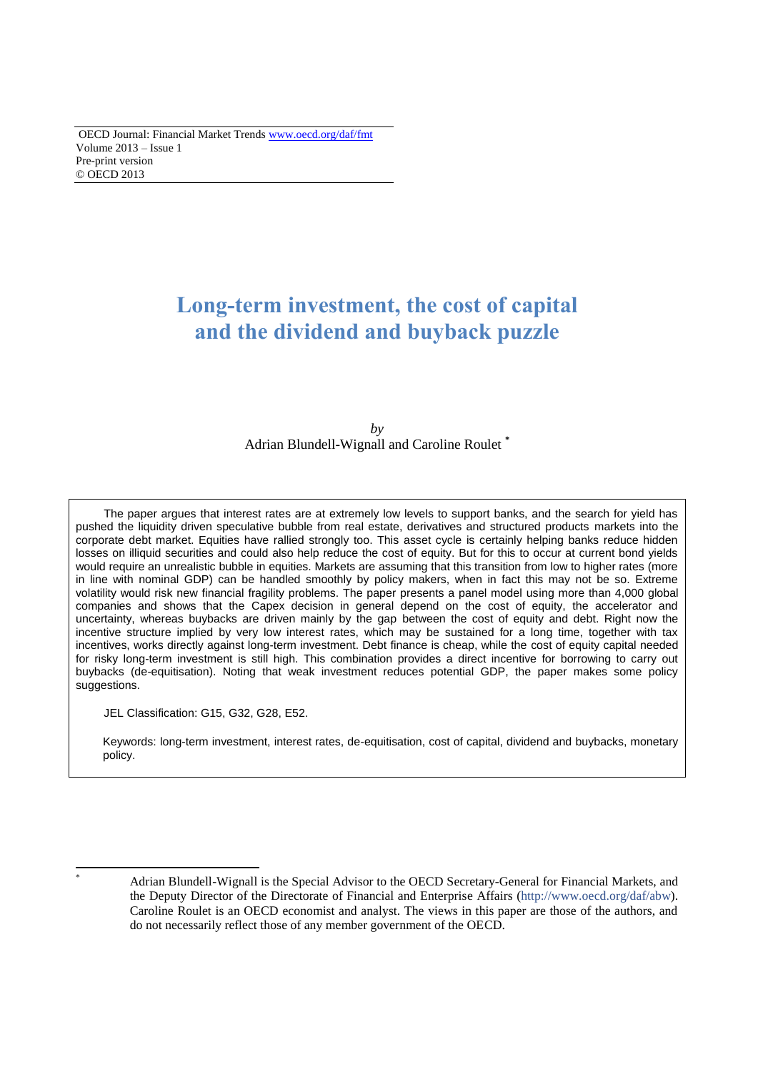# **Long-term investment, the cost of capital and the dividend and buyback puzzle**

 $b\nu$ Adrian Blundell-Wignall and Caroline Roulet **\***

The paper argues that interest rates are at extremely low levels to support banks, and the search for yield has pushed the liquidity driven speculative bubble from real estate, derivatives and structured products markets into the corporate debt market. Equities have rallied strongly too. This asset cycle is certainly helping banks reduce hidden losses on illiquid securities and could also help reduce the cost of equity. But for this to occur at current bond yields would require an unrealistic bubble in equities. Markets are assuming that this transition from low to higher rates (more in line with nominal GDP) can be handled smoothly by policy makers, when in fact this may not be so. Extreme volatility would risk new financial fragility problems. The paper presents a panel model using more than 4,000 global companies and shows that the Capex decision in general depend on the cost of equity, the accelerator and uncertainty, whereas buybacks are driven mainly by the gap between the cost of equity and debt. Right now the incentive structure implied by very low interest rates, which may be sustained for a long time, together with tax incentives, works directly against long-term investment. Debt finance is cheap, while the cost of equity capital needed for risky long-term investment is still high. This combination provides a direct incentive for borrowing to carry out buybacks (de-equitisation). Noting that weak investment reduces potential GDP, the paper makes some policy suggestions.

JEL Classification: G15, G32, G28, E52.

Keywords: long-term investment, interest rates, de-equitisation, cost of capital, dividend and buybacks, monetary policy.

 $\overline{a}$ 

Adrian Blundell-Wignall is the Special Advisor to the OECD Secretary-General for Financial Markets, and the Deputy Director of the Directorate of Financial and Enterprise Affairs [\(http://www.oecd.org/daf/abw\)](http://www.oecd.org/daf/abw). Caroline Roulet is an OECD economist and analyst. The views in this paper are those of the authors, and do not necessarily reflect those of any member government of the OECD.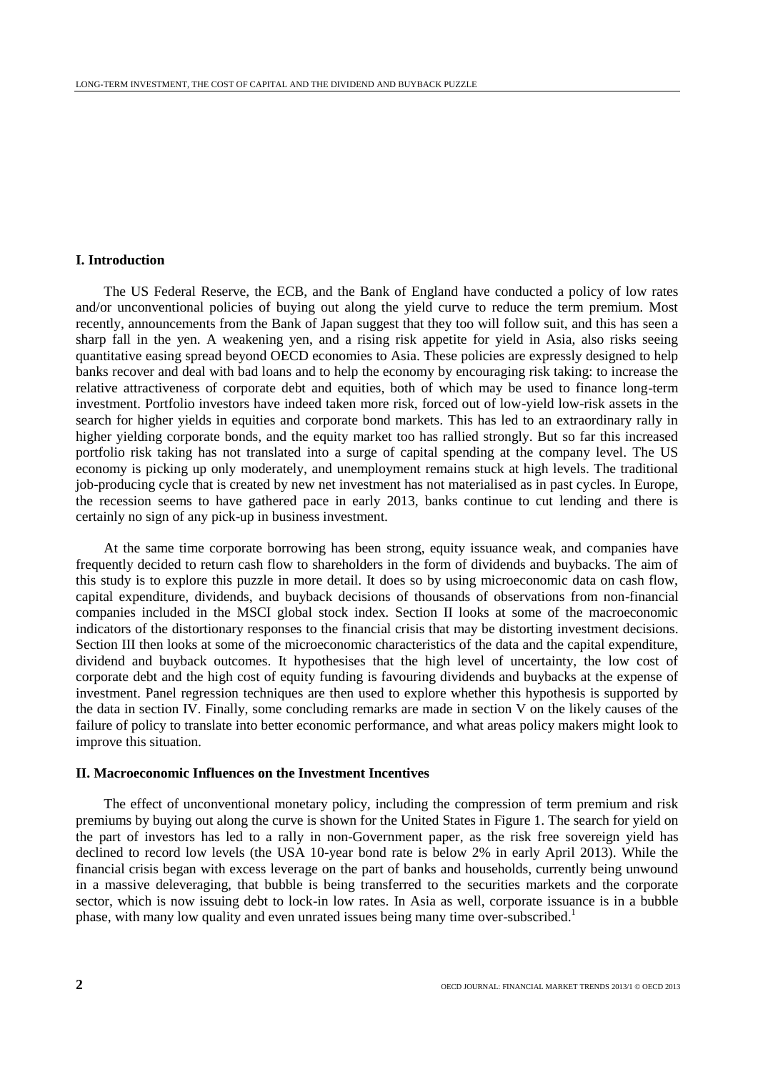## **I. Introduction**

The US Federal Reserve, the ECB, and the Bank of England have conducted a policy of low rates and/or unconventional policies of buying out along the yield curve to reduce the term premium. Most recently, announcements from the Bank of Japan suggest that they too will follow suit, and this has seen a sharp fall in the yen. A weakening yen, and a rising risk appetite for yield in Asia, also risks seeing quantitative easing spread beyond OECD economies to Asia. These policies are expressly designed to help banks recover and deal with bad loans and to help the economy by encouraging risk taking: to increase the relative attractiveness of corporate debt and equities, both of which may be used to finance long-term investment. Portfolio investors have indeed taken more risk, forced out of low-yield low-risk assets in the search for higher yields in equities and corporate bond markets. This has led to an extraordinary rally in higher yielding corporate bonds, and the equity market too has rallied strongly. But so far this increased portfolio risk taking has not translated into a surge of capital spending at the company level. The US economy is picking up only moderately, and unemployment remains stuck at high levels. The traditional job-producing cycle that is created by new net investment has not materialised as in past cycles. In Europe, the recession seems to have gathered pace in early 2013, banks continue to cut lending and there is certainly no sign of any pick-up in business investment.

At the same time corporate borrowing has been strong, equity issuance weak, and companies have frequently decided to return cash flow to shareholders in the form of dividends and buybacks. The aim of this study is to explore this puzzle in more detail. It does so by using microeconomic data on cash flow, capital expenditure, dividends, and buyback decisions of thousands of observations from non-financial companies included in the MSCI global stock index. Section II looks at some of the macroeconomic indicators of the distortionary responses to the financial crisis that may be distorting investment decisions. Section III then looks at some of the microeconomic characteristics of the data and the capital expenditure, dividend and buyback outcomes. It hypothesises that the high level of uncertainty, the low cost of corporate debt and the high cost of equity funding is favouring dividends and buybacks at the expense of investment. Panel regression techniques are then used to explore whether this hypothesis is supported by the data in section IV. Finally, some concluding remarks are made in section V on the likely causes of the failure of policy to translate into better economic performance, and what areas policy makers might look to improve this situation.

## **II. Macroeconomic Influences on the Investment Incentives**

The effect of unconventional monetary policy, including the compression of term premium and risk premiums by buying out along the curve is shown for the United States in Figure 1. The search for yield on the part of investors has led to a rally in non-Government paper, as the risk free sovereign yield has declined to record low levels (the USA 10-year bond rate is below 2% in early April 2013). While the financial crisis began with excess leverage on the part of banks and households, currently being unwound in a massive deleveraging, that bubble is being transferred to the securities markets and the corporate sector, which is now issuing debt to lock-in low rates. In Asia as well, corporate issuance is in a bubble phase, with many low quality and even unrated issues being many time over-subscribed.<sup>1</sup>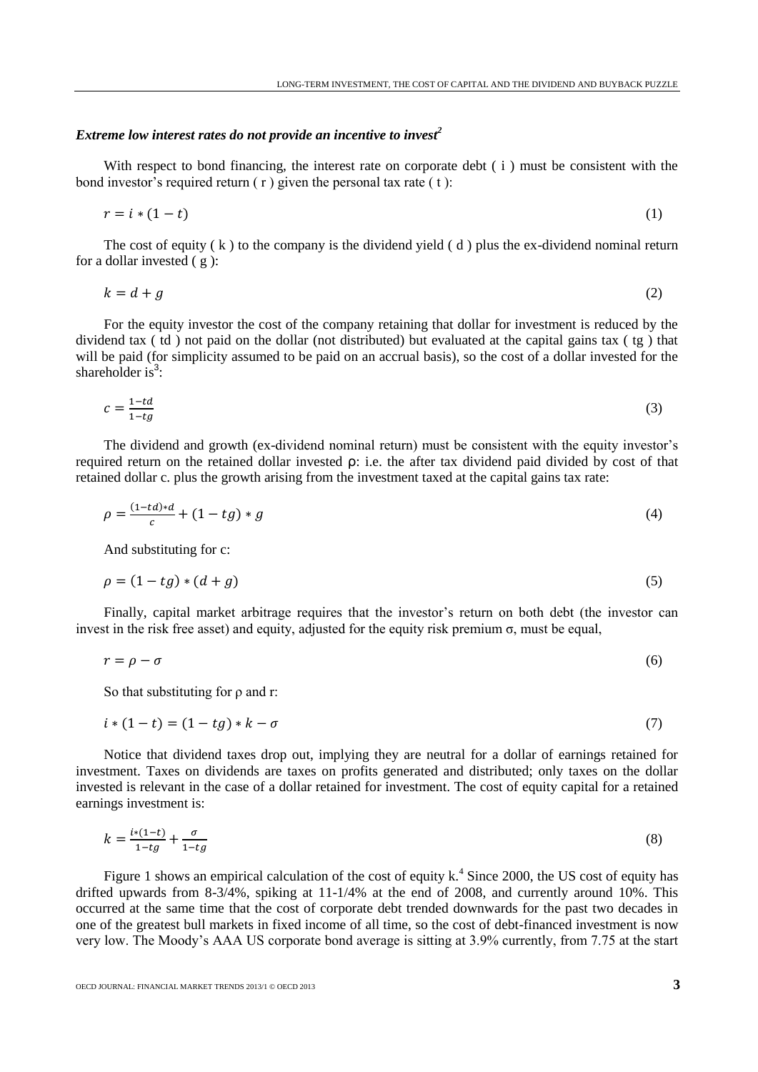# *Extreme low interest rates do not provide an incentive to invest<sup>2</sup>*

With respect to bond financing, the interest rate on corporate debt (i) must be consistent with the bond investor's required return  $(r)$  given the personal tax rate  $( t )$ :

$$
r = i * (1 - t) \tag{1}
$$

The cost of equity  $(k)$  to the company is the dividend yield  $(d)$  plus the ex-dividend nominal return for a dollar invested  $(g)$ :

$$
k = d + g \tag{2}
$$

For the equity investor the cost of the company retaining that dollar for investment is reduced by the dividend tax ( td ) not paid on the dollar (not distributed) but evaluated at the capital gains tax ( tg ) that will be paid (for simplicity assumed to be paid on an accrual basis), so the cost of a dollar invested for the shareholder is<sup>3</sup>:

$$
c = \frac{1 - td}{1 - tg} \tag{3}
$$

The dividend and growth (ex-dividend nominal return) must be consistent with the equity investor's required return on the retained dollar invested ρ: i.e. the after tax dividend paid divided by cost of that retained dollar c. plus the growth arising from the investment taxed at the capital gains tax rate:

$$
\rho = \frac{(1 - td)*d}{c} + (1 - tg)*g \tag{4}
$$

And substituting for c:

$$
\rho = (1 - tg) * (d + g) \tag{5}
$$

Finally, capital market arbitrage requires that the investor's return on both debt (the investor can invest in the risk free asset) and equity, adjusted for the equity risk premium  $\sigma$ , must be equal,

$$
r = \rho - \sigma \tag{6}
$$

So that substituting for ρ and r:

$$
i * (1 - t) = (1 - tg) * k - \sigma \tag{7}
$$

Notice that dividend taxes drop out, implying they are neutral for a dollar of earnings retained for investment. Taxes on dividends are taxes on profits generated and distributed; only taxes on the dollar invested is relevant in the case of a dollar retained for investment. The cost of equity capital for a retained earnings investment is:

$$
k = \frac{i*(1-t)}{1-tg} + \frac{\sigma}{1-tg} \tag{8}
$$

Figure 1 shows an empirical calculation of the cost of equity  $k^4$ . Since 2000, the US cost of equity has drifted upwards from 8-3/4%, spiking at 11-1/4% at the end of 2008, and currently around 10%. This occurred at the same time that the cost of corporate debt trended downwards for the past two decades in one of the greatest bull markets in fixed income of all time, so the cost of debt-financed investment is now very low. The Moody's AAA US corporate bond average is sitting at 3.9% currently, from 7.75 at the start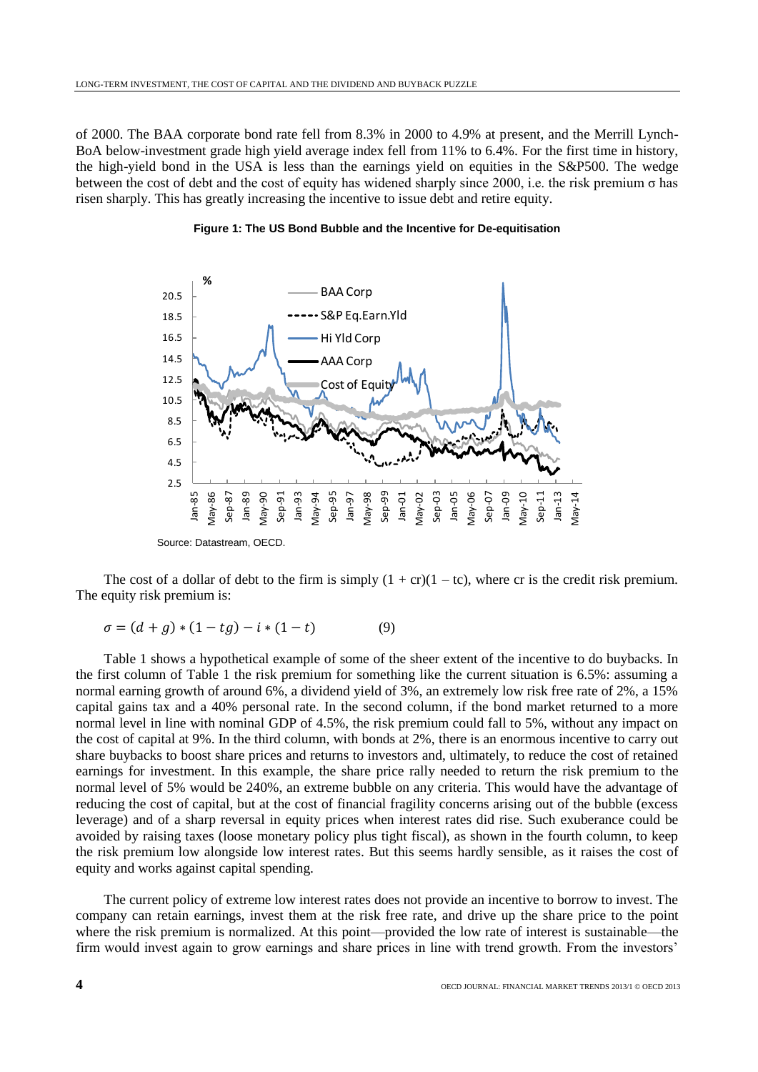of 2000. The BAA corporate bond rate fell from 8.3% in 2000 to 4.9% at present, and the Merrill Lynch-BoA below-investment grade high yield average index fell from 11% to 6.4%. For the first time in history, the high-yield bond in the USA is less than the earnings yield on equities in the S&P500. The wedge between the cost of debt and the cost of equity has widened sharply since 2000, i.e. the risk premium σ has risen sharply. This has greatly increasing the incentive to issue debt and retire equity.



**Figure 1: The US Bond Bubble and the Incentive for De-equitisation**

The cost of a dollar of debt to the firm is simply  $(1 + cr)(1 - tc)$ , where cr is the credit risk premium. The equity risk premium is:

$$
\sigma = (d+g) * (1-tg) - i * (1-t)
$$
 (9)

Table 1 shows a hypothetical example of some of the sheer extent of the incentive to do buybacks. In the first column of Table 1 the risk premium for something like the current situation is 6.5%: assuming a normal earning growth of around 6%, a dividend yield of 3%, an extremely low risk free rate of 2%, a 15% capital gains tax and a 40% personal rate. In the second column, if the bond market returned to a more normal level in line with nominal GDP of 4.5%, the risk premium could fall to 5%, without any impact on the cost of capital at 9%. In the third column, with bonds at 2%, there is an enormous incentive to carry out share buybacks to boost share prices and returns to investors and, ultimately, to reduce the cost of retained earnings for investment. In this example, the share price rally needed to return the risk premium to the normal level of 5% would be 240%, an extreme bubble on any criteria. This would have the advantage of reducing the cost of capital, but at the cost of financial fragility concerns arising out of the bubble (excess leverage) and of a sharp reversal in equity prices when interest rates did rise. Such exuberance could be avoided by raising taxes (loose monetary policy plus tight fiscal), as shown in the fourth column, to keep the risk premium low alongside low interest rates. But this seems hardly sensible, as it raises the cost of equity and works against capital spending.

The current policy of extreme low interest rates does not provide an incentive to borrow to invest. The company can retain earnings, invest them at the risk free rate, and drive up the share price to the point where the risk premium is normalized. At this point—provided the low rate of interest is sustainable—the firm would invest again to grow earnings and share prices in line with trend growth. From the investors'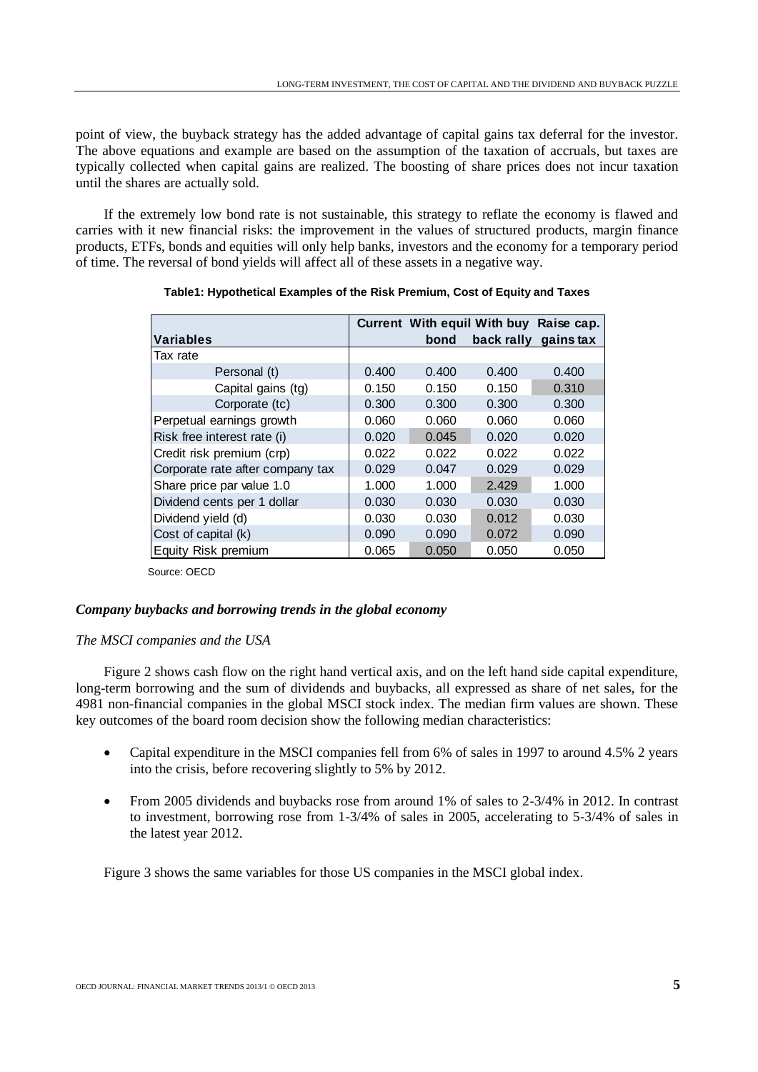point of view, the buyback strategy has the added advantage of capital gains tax deferral for the investor. The above equations and example are based on the assumption of the taxation of accruals, but taxes are typically collected when capital gains are realized. The boosting of share prices does not incur taxation until the shares are actually sold.

If the extremely low bond rate is not sustainable, this strategy to reflate the economy is flawed and carries with it new financial risks: the improvement in the values of structured products, margin finance products, ETFs, bonds and equities will only help banks, investors and the economy for a temporary period of time. The reversal of bond yields will affect all of these assets in a negative way.

|                                  |       |       | <b>Current With equil With buy</b> | Raise cap. |
|----------------------------------|-------|-------|------------------------------------|------------|
| <b>Variables</b>                 |       | bond  | back rally                         | gains tax  |
| Tax rate                         |       |       |                                    |            |
| Personal (t)                     | 0.400 | 0.400 | 0.400                              | 0.400      |
| Capital gains (tg)               | 0.150 | 0.150 | 0.150                              | 0.310      |
| Corporate (tc)                   | 0.300 | 0.300 | 0.300                              | 0.300      |
| Perpetual earnings growth        | 0.060 | 0.060 | 0.060                              | 0.060      |
| Risk free interest rate (i)      | 0.020 | 0.045 | 0.020                              | 0.020      |
| Credit risk premium (crp)        | 0.022 | 0.022 | 0.022                              | 0.022      |
| Corporate rate after company tax | 0.029 | 0.047 | 0.029                              | 0.029      |
| Share price par value 1.0        | 1.000 | 1.000 | 2.429                              | 1.000      |
| Dividend cents per 1 dollar      | 0.030 | 0.030 | 0.030                              | 0.030      |
| Dividend yield (d)               | 0.030 | 0.030 | 0.012                              | 0.030      |
| Cost of capital (k)              | 0.090 | 0.090 | 0.072                              | 0.090      |
| Equity Risk premium              | 0.065 | 0.050 | 0.050                              | 0.050      |

**Table1: Hypothetical Examples of the Risk Premium, Cost of Equity and Taxes**

Source: OECD

# *Company buybacks and borrowing trends in the global economy*

# *The MSCI companies and the USA*

Figure 2 shows cash flow on the right hand vertical axis, and on the left hand side capital expenditure, long-term borrowing and the sum of dividends and buybacks, all expressed as share of net sales, for the 4981 non-financial companies in the global MSCI stock index. The median firm values are shown. These key outcomes of the board room decision show the following median characteristics:

- Capital expenditure in the MSCI companies fell from 6% of sales in 1997 to around 4.5% 2 years into the crisis, before recovering slightly to 5% by 2012.
- From 2005 dividends and buybacks rose from around 1% of sales to 2-3/4% in 2012. In contrast to investment, borrowing rose from 1-3/4% of sales in 2005, accelerating to 5-3/4% of sales in the latest year 2012.

Figure 3 shows the same variables for those US companies in the MSCI global index.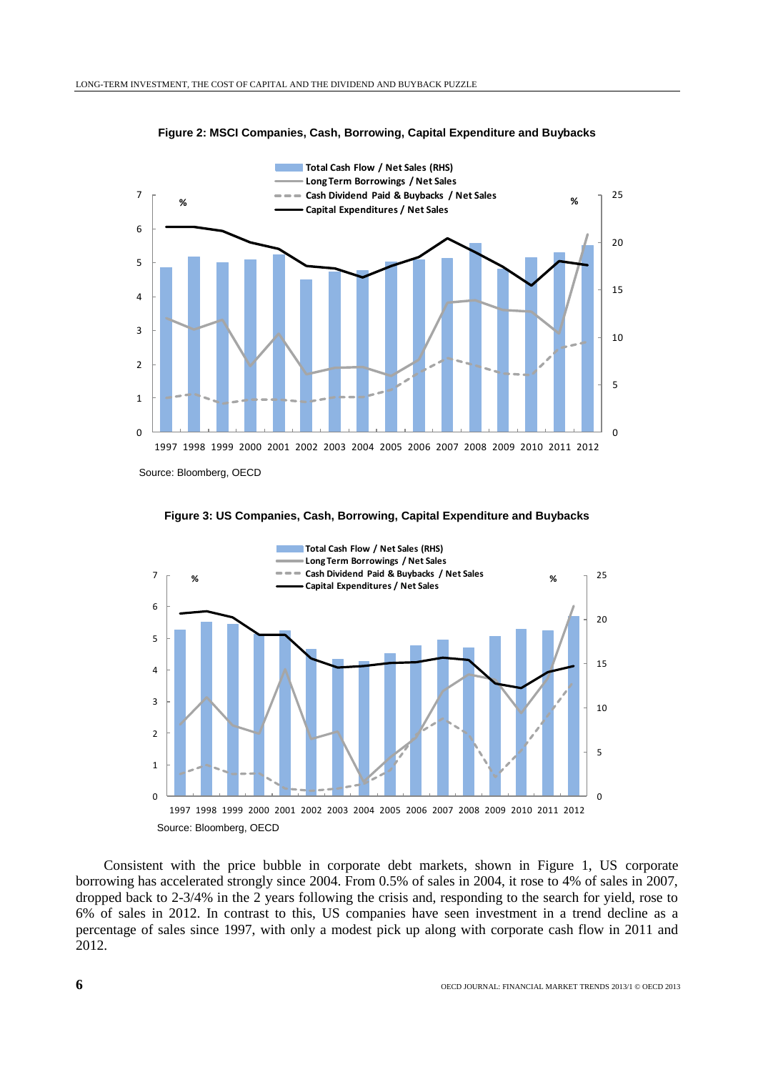



Source: Bloomberg, OECD



**Figure 3: US Companies, Cash, Borrowing, Capital Expenditure and Buybacks**

Consistent with the price bubble in corporate debt markets, shown in Figure 1, US corporate borrowing has accelerated strongly since 2004. From 0.5% of sales in 2004, it rose to 4% of sales in 2007, dropped back to 2-3/4% in the 2 years following the crisis and, responding to the search for yield, rose to 6% of sales in 2012. In contrast to this, US companies have seen investment in a trend decline as a percentage of sales since 1997, with only a modest pick up along with corporate cash flow in 2011 and 2012.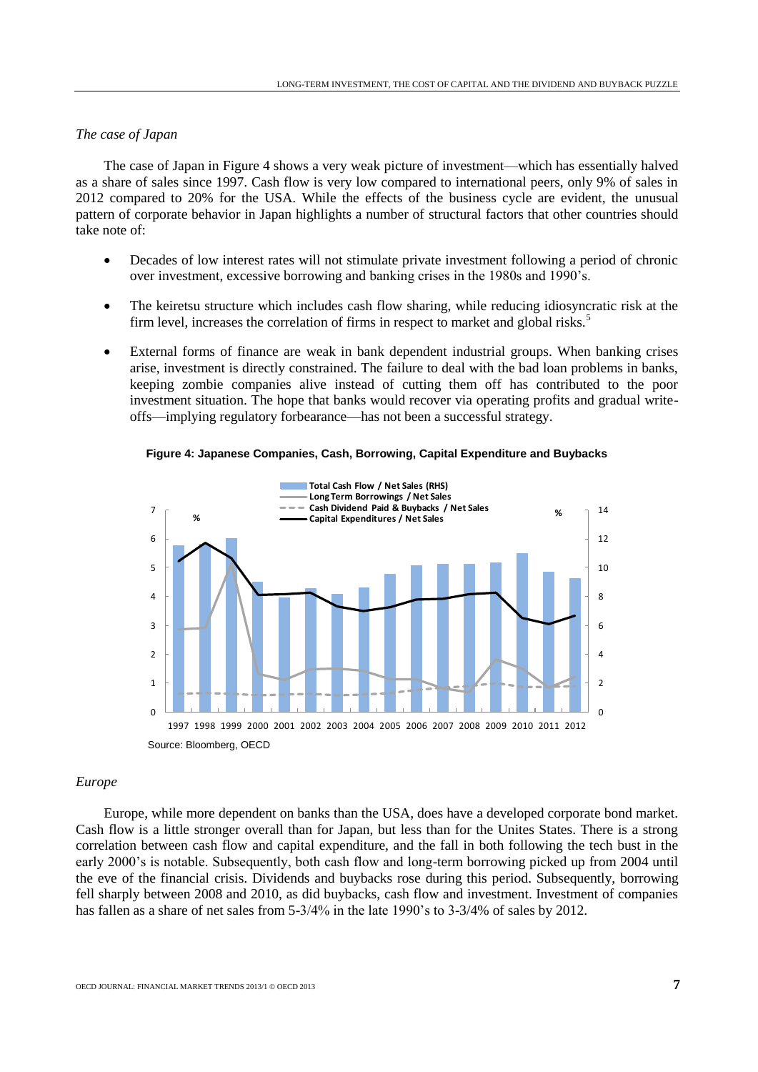## *The case of Japan*

The case of Japan in Figure 4 shows a very weak picture of investment—which has essentially halved as a share of sales since 1997. Cash flow is very low compared to international peers, only 9% of sales in 2012 compared to 20% for the USA. While the effects of the business cycle are evident, the unusual pattern of corporate behavior in Japan highlights a number of structural factors that other countries should take note of:

- Decades of low interest rates will not stimulate private investment following a period of chronic over investment, excessive borrowing and banking crises in the 1980s and 1990's.
- The keiretsu structure which includes cash flow sharing, while reducing idiosyncratic risk at the firm level, increases the correlation of firms in respect to market and global risks.<sup>5</sup>
- External forms of finance are weak in bank dependent industrial groups. When banking crises arise, investment is directly constrained. The failure to deal with the bad loan problems in banks, keeping zombie companies alive instead of cutting them off has contributed to the poor investment situation. The hope that banks would recover via operating profits and gradual writeoffs—implying regulatory forbearance—has not been a successful strategy.





## *Europe*

Europe, while more dependent on banks than the USA, does have a developed corporate bond market. Cash flow is a little stronger overall than for Japan, but less than for the Unites States. There is a strong correlation between cash flow and capital expenditure, and the fall in both following the tech bust in the early 2000's is notable. Subsequently, both cash flow and long-term borrowing picked up from 2004 until the eve of the financial crisis. Dividends and buybacks rose during this period. Subsequently, borrowing fell sharply between 2008 and 2010, as did buybacks, cash flow and investment. Investment of companies has fallen as a share of net sales from 5-3/4% in the late 1990's to 3-3/4% of sales by 2012.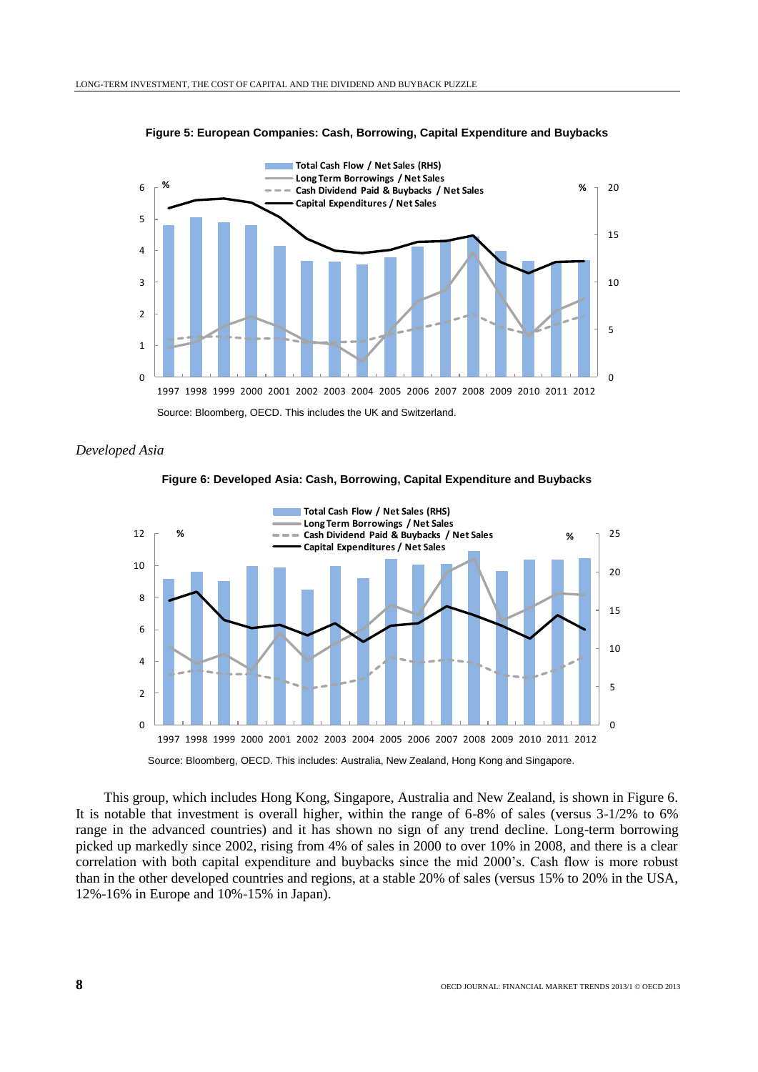



*Developed Asia*



**Figure 6: Developed Asia: Cash, Borrowing, Capital Expenditure and Buybacks**

This group, which includes Hong Kong, Singapore, Australia and New Zealand, is shown in Figure 6. It is notable that investment is overall higher, within the range of 6-8% of sales (versus 3-1/2% to 6% range in the advanced countries) and it has shown no sign of any trend decline. Long-term borrowing picked up markedly since 2002, rising from 4% of sales in 2000 to over 10% in 2008, and there is a clear correlation with both capital expenditure and buybacks since the mid 2000's. Cash flow is more robust than in the other developed countries and regions, at a stable 20% of sales (versus 15% to 20% in the USA, 12%-16% in Europe and 10%-15% in Japan).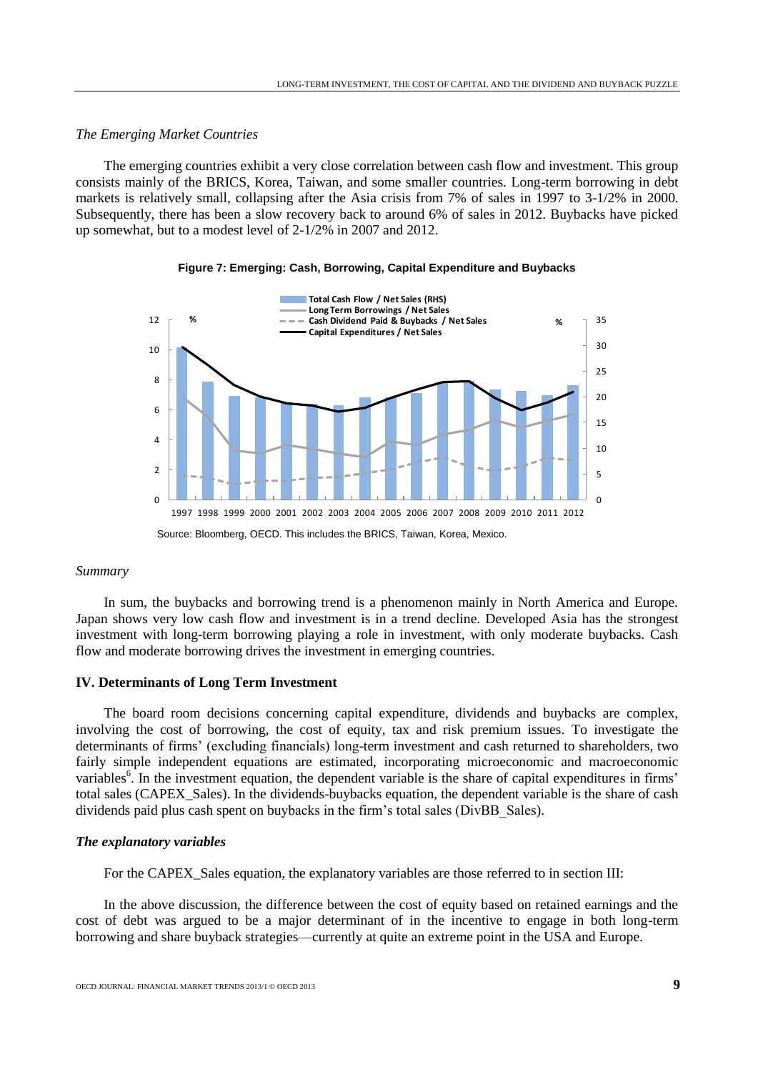## *The Emerging Market Countries*

The emerging countries exhibit a very close correlation between cash flow and investment. This group consists mainly of the BRICS, Korea, Taiwan, and some smaller countries. Long-term borrowing in debt markets is relatively small, collapsing after the Asia crisis from 7% of sales in 1997 to 3-1/2% in 2000. Subsequently, there has been a slow recovery back to around 6% of sales in 2012. Buybacks have picked up somewhat, but to a modest level of 2-1/2% in 2007 and 2012.



#### **Figure 7: Emerging: Cash, Borrowing, Capital Expenditure and Buybacks**

## *Summary*

In sum, the buybacks and borrowing trend is a phenomenon mainly in North America and Europe. Japan shows very low cash flow and investment is in a trend decline. Developed Asia has the strongest investment with long-term borrowing playing a role in investment, with only moderate buybacks. Cash flow and moderate borrowing drives the investment in emerging countries.

# **IV. Determinants of Long Term Investment**

The board room decisions concerning capital expenditure, dividends and buybacks are complex, involving the cost of borrowing, the cost of equity, tax and risk premium issues. To investigate the determinants of firms' (excluding financials) long-term investment and cash returned to shareholders, two fairly simple independent equations are estimated, incorporating microeconomic and macroeconomic variables<sup>6</sup>. In the investment equation, the dependent variable is the share of capital expenditures in firms' total sales (CAPEX\_Sales). In the dividends-buybacks equation, the dependent variable is the share of cash dividends paid plus cash spent on buybacks in the firm's total sales (DivBB\_Sales).

# *The explanatory variables*

For the CAPEX\_Sales equation, the explanatory variables are those referred to in section III:

In the above discussion, the difference between the cost of equity based on retained earnings and the cost of debt was argued to be a major determinant of in the incentive to engage in both long-term borrowing and share buyback strategies—currently at quite an extreme point in the USA and Europe.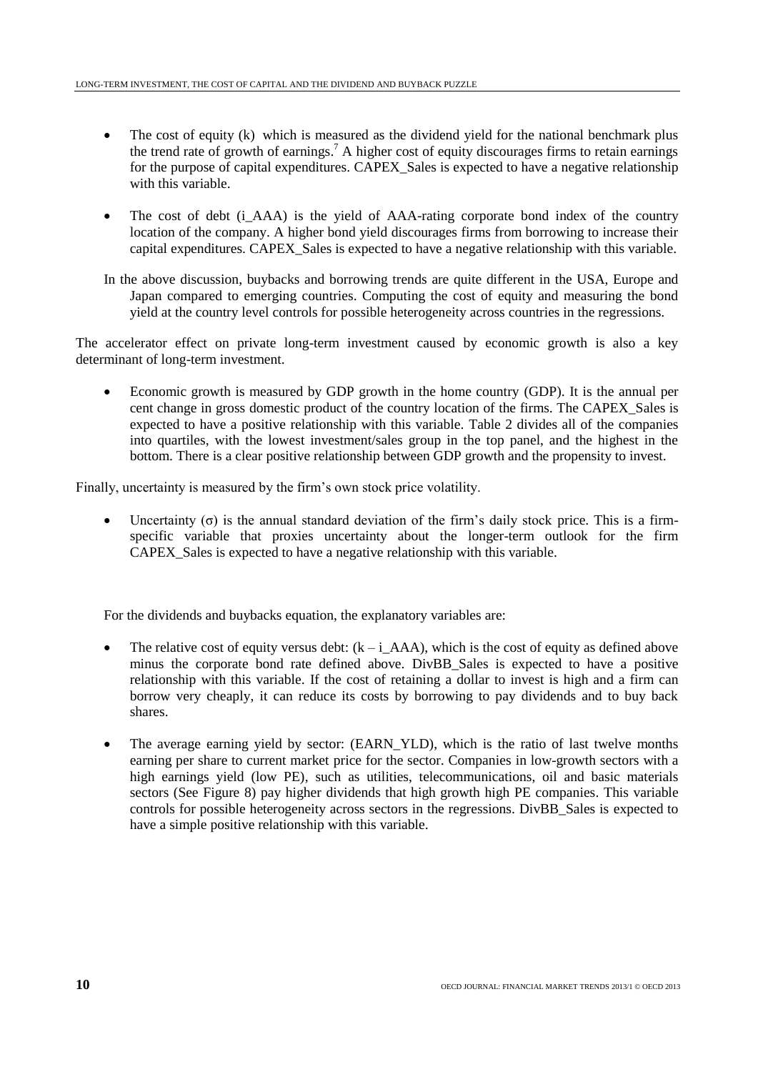- The cost of equity (k) which is measured as the dividend yield for the national benchmark plus the trend rate of growth of earnings. <sup>7</sup> A higher cost of equity discourages firms to retain earnings for the purpose of capital expenditures. CAPEX Sales is expected to have a negative relationship with this variable.
- The cost of debt (i\_AAA) is the yield of AAA-rating corporate bond index of the country location of the company. A higher bond yield discourages firms from borrowing to increase their capital expenditures. CAPEX\_Sales is expected to have a negative relationship with this variable.
- In the above discussion, buybacks and borrowing trends are quite different in the USA, Europe and Japan compared to emerging countries. Computing the cost of equity and measuring the bond yield at the country level controls for possible heterogeneity across countries in the regressions.

The accelerator effect on private long-term investment caused by economic growth is also a key determinant of long-term investment.

 Economic growth is measured by GDP growth in the home country (GDP). It is the annual per cent change in gross domestic product of the country location of the firms. The CAPEX\_Sales is expected to have a positive relationship with this variable. Table 2 divides all of the companies into quartiles, with the lowest investment/sales group in the top panel, and the highest in the bottom. There is a clear positive relationship between GDP growth and the propensity to invest.

Finally, uncertainty is measured by the firm's own stock price volatility.

• Uncertainty  $(\sigma)$  is the annual standard deviation of the firm's daily stock price. This is a firmspecific variable that proxies uncertainty about the longer-term outlook for the firm CAPEX Sales is expected to have a negative relationship with this variable.

For the dividends and buybacks equation, the explanatory variables are:

- The relative cost of equity versus debt:  $(k i_A A A)$ , which is the cost of equity as defined above minus the corporate bond rate defined above. DivBB\_Sales is expected to have a positive relationship with this variable. If the cost of retaining a dollar to invest is high and a firm can borrow very cheaply, it can reduce its costs by borrowing to pay dividends and to buy back shares.
- The average earning yield by sector: (EARN\_YLD), which is the ratio of last twelve months earning per share to current market price for the sector. Companies in low-growth sectors with a high earnings yield (low PE), such as utilities, telecommunications, oil and basic materials sectors (See Figure 8) pay higher dividends that high growth high PE companies. This variable controls for possible heterogeneity across sectors in the regressions. DivBB\_Sales is expected to have a simple positive relationship with this variable.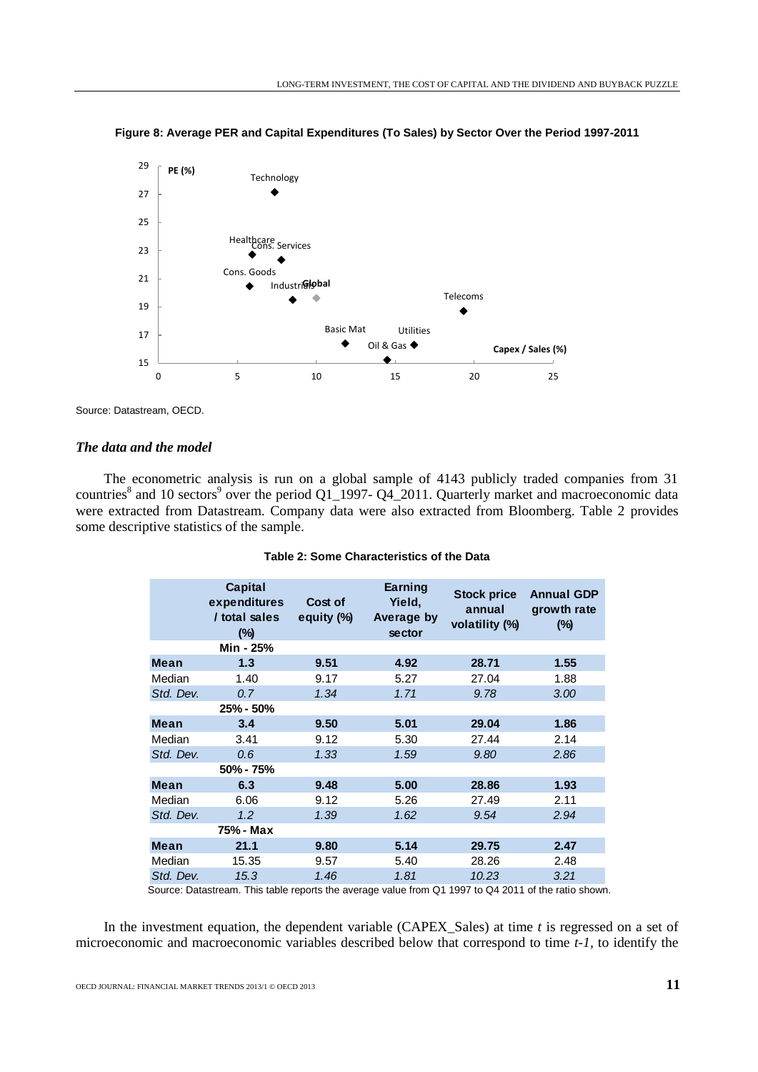

**Figure 8: Average PER and Capital Expenditures (To Sales) by Sector Over the Period 1997-2011**

Source: Datastream, OECD.

# *The data and the model*

The econometric analysis is run on a global sample of 4143 publicly traded companies from 31 countries<sup>8</sup> and 10 sectors<sup>9</sup> over the period Q1\_1997- Q4\_2011. Quarterly market and macroeconomic data were extracted from Datastream. Company data were also extracted from Bloomberg. Table 2 provides some descriptive statistics of the sample.

|             | Capital<br>expenditures<br>/ total sales<br>$(\%)$ | Cost of<br>equity (%) | Earning<br>Yield,<br>Average by<br>sector | <b>Stock price</b><br>annual<br>volatility (%) | <b>Annual GDP</b><br>growth rate<br>$(\%)$ |
|-------------|----------------------------------------------------|-----------------------|-------------------------------------------|------------------------------------------------|--------------------------------------------|
|             | Min - 25%                                          |                       |                                           |                                                |                                            |
| Mean        | 1.3                                                | 9.51                  | 4.92                                      | 28.71                                          | 1.55                                       |
| Median      | 1.40                                               | 9.17                  | 5.27                                      | 27.04                                          | 1.88                                       |
| Std. Dev.   | 0.7                                                | 1.34                  | 1.71                                      | 9.78                                           | 3.00                                       |
|             | 25% - 50%                                          |                       |                                           |                                                |                                            |
| Mean        | 3.4                                                | 9.50                  | 5.01                                      | 29.04                                          | 1.86                                       |
| Median      | 3.41                                               | 9.12                  | 5.30                                      | 27.44                                          | 2.14                                       |
| Std. Dev.   | 0.6                                                | 1.33                  | 1.59                                      | 9.80                                           | 2.86                                       |
|             | 50% - 75%                                          |                       |                                           |                                                |                                            |
| Mean        | 6.3                                                | 9.48                  | 5.00                                      | 28.86                                          | 1.93                                       |
| Median      | 6.06                                               | 9.12                  | 5.26                                      | 27.49                                          | 2.11                                       |
| Std. Dev.   | 1.2                                                | 1.39                  | 1.62                                      | 9.54                                           | 2.94                                       |
|             | 75% - Max                                          |                       |                                           |                                                |                                            |
| <b>Mean</b> | 21.1                                               | 9.80                  | 5.14                                      | 29.75                                          | 2.47                                       |
| Median      | 15.35                                              | 9.57                  | 5.40                                      | 28.26                                          | 2.48                                       |
| Std. Dev.   | 15.3                                               | 1.46                  | 1.81                                      | 10.23                                          | 3.21                                       |
|             | エレビー エーレー                                          |                       |                                           | $\sim$ $\sim$ $\sim$ $\sim$ $\sim$             |                                            |

|  | Table 2: Some Characteristics of the Data |  |  |
|--|-------------------------------------------|--|--|
|  |                                           |  |  |

Source: Datastream. This table reports the average value from Q1 1997 to Q4 2011 of the ratio shown.

In the investment equation, the dependent variable (CAPEX\_Sales) at time *t* is regressed on a set of microeconomic and macroeconomic variables described below that correspond to time *t-1,* to identify the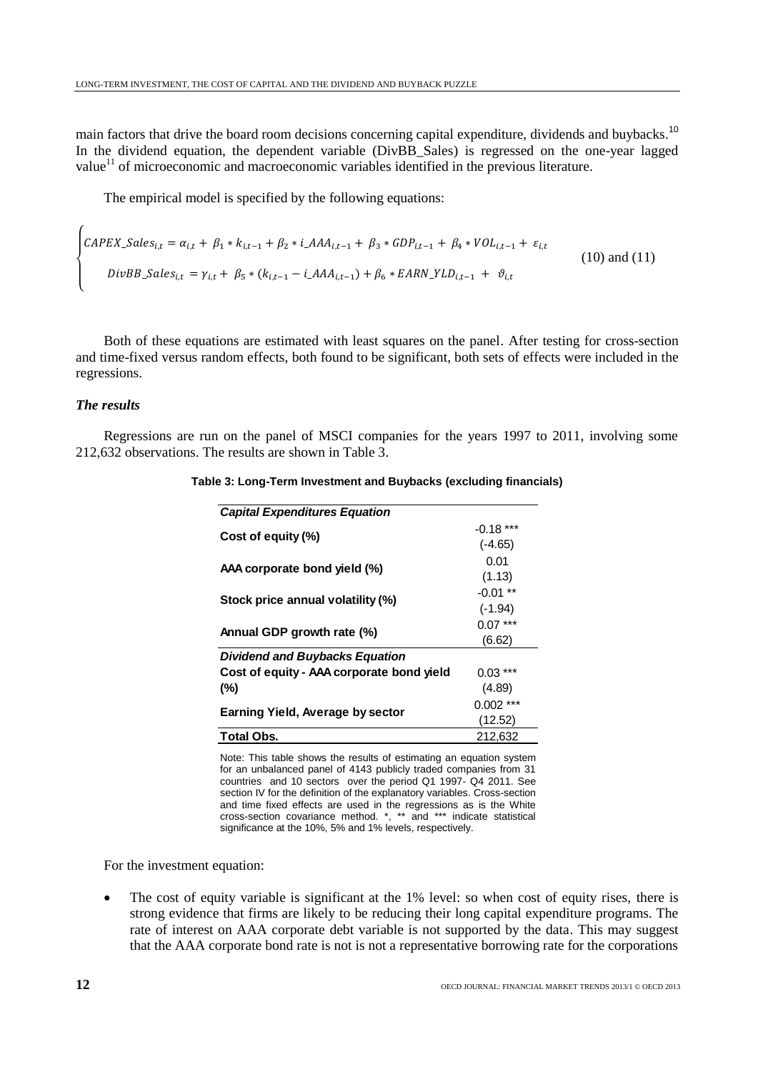main factors that drive the board room decisions concerning capital expenditure, dividends and buybacks.<sup>10</sup> In the dividend equation, the dependent variable (DivBB\_Sales) is regressed on the one-year lagged value<sup>11</sup> of microeconomic and macroeconomic variables identified in the previous literature.

The empirical model is specified by the following equations:

$$
\begin{cases}\n\text{CAPEX\_Sales}_{i,t} = \alpha_{i,t} + \beta_1 * k_{i,t-1} + \beta_2 * i \_\text{AAA}_{i,t-1} + \beta_3 * \text{GDP}_{i,t-1} + \beta_4 * \text{VOL}_{i,t-1} + \varepsilon_{i,t} \\
\text{DivBB\_Sales}_{i,t} = \gamma_{i,t} + \beta_5 * (k_{i,t-1} - i \_\text{AAA}_{i,t-1}) + \beta_6 * \text{EARN\_YLD}_{i,t-1} + \vartheta_{i,t}\n\end{cases} (10) \text{ and } (11)
$$

Both of these equations are estimated with least squares on the panel. After testing for cross-section and time-fixed versus random effects, both found to be significant, both sets of effects were included in the regressions.

# *The results*

Regressions are run on the panel of MSCI companies for the years 1997 to 2011, involving some 212,632 observations. The results are shown in Table 3.

| <b>Capital Expenditures Equation</b>      |             |
|-------------------------------------------|-------------|
| Cost of equity (%)                        | $-0.18***$  |
|                                           | $(-4.65)$   |
| AAA corporate bond yield (%)              | 0.01        |
|                                           | (1.13)      |
|                                           | $-0.01**$   |
| Stock price annual volatility (%)         | $(-1.94)$   |
|                                           | $0.07***$   |
| Annual GDP growth rate (%)                | (6.62)      |
| Dividend and Buybacks Equation            |             |
| Cost of equity - AAA corporate bond yield | $0.03***$   |
| (%)                                       | (4.89)      |
|                                           | $0.002$ *** |
| Earning Yield, Average by sector          | (12.52)     |
| <b>Total Obs.</b>                         | 212,632     |
|                                           |             |

**Table 3: Long-Term Investment and Buybacks (excluding financials)**

Note: This table shows the results of estimating an equation system for an unbalanced panel of 4143 publicly traded companies from 31 countries and 10 sectors over the period Q1 1997- Q4 2011. See section IV for the definition of the explanatory variables. Cross-section and time fixed effects are used in the regressions as is the White cross-section covariance method. \*, \*\* and \*\*\* indicate statistical significance at the 10%, 5% and 1% levels, respectively.

For the investment equation:

 The cost of equity variable is significant at the 1% level: so when cost of equity rises, there is strong evidence that firms are likely to be reducing their long capital expenditure programs. The rate of interest on AAA corporate debt variable is not supported by the data. This may suggest that the AAA corporate bond rate is not is not a representative borrowing rate for the corporations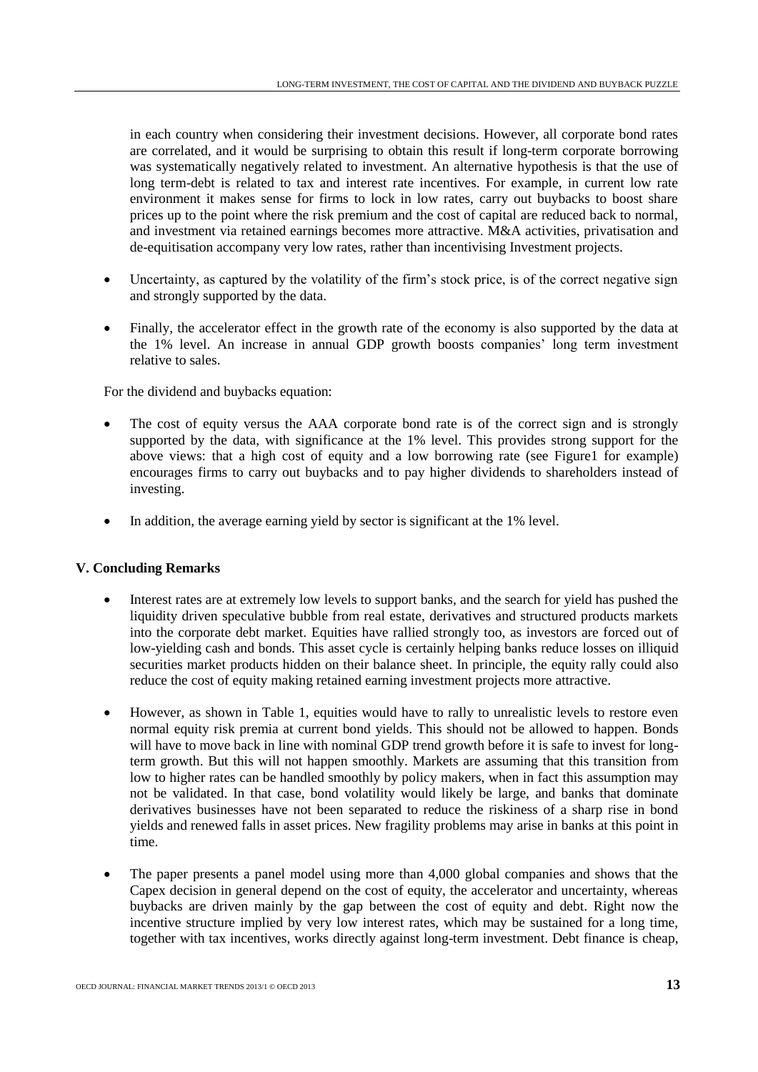in each country when considering their investment decisions. However, all corporate bond rates are correlated, and it would be surprising to obtain this result if long-term corporate borrowing was systematically negatively related to investment. An alternative hypothesis is that the use of long term-debt is related to tax and interest rate incentives. For example, in current low rate environment it makes sense for firms to lock in low rates, carry out buybacks to boost share prices up to the point where the risk premium and the cost of capital are reduced back to normal, and investment via retained earnings becomes more attractive. M&A activities, privatisation and de-equitisation accompany very low rates, rather than incentivising Investment projects.

- Uncertainty, as captured by the volatility of the firm's stock price, is of the correct negative sign and strongly supported by the data.
- Finally, the accelerator effect in the growth rate of the economy is also supported by the data at the 1% level. An increase in annual GDP growth boosts companies' long term investment relative to sales.

For the dividend and buybacks equation:

- The cost of equity versus the AAA corporate bond rate is of the correct sign and is strongly supported by the data, with significance at the 1% level. This provides strong support for the above views: that a high cost of equity and a low borrowing rate (see Figure1 for example) encourages firms to carry out buybacks and to pay higher dividends to shareholders instead of investing.
- In addition, the average earning yield by sector is significant at the 1% level.

# **V. Concluding Remarks**

- Interest rates are at extremely low levels to support banks, and the search for yield has pushed the liquidity driven speculative bubble from real estate, derivatives and structured products markets into the corporate debt market. Equities have rallied strongly too, as investors are forced out of low-yielding cash and bonds. This asset cycle is certainly helping banks reduce losses on illiquid securities market products hidden on their balance sheet. In principle, the equity rally could also reduce the cost of equity making retained earning investment projects more attractive.
- However, as shown in Table 1, equities would have to rally to unrealistic levels to restore even normal equity risk premia at current bond yields. This should not be allowed to happen. Bonds will have to move back in line with nominal GDP trend growth before it is safe to invest for longterm growth. But this will not happen smoothly. Markets are assuming that this transition from low to higher rates can be handled smoothly by policy makers, when in fact this assumption may not be validated. In that case, bond volatility would likely be large, and banks that dominate derivatives businesses have not been separated to reduce the riskiness of a sharp rise in bond yields and renewed falls in asset prices. New fragility problems may arise in banks at this point in time.
- The paper presents a panel model using more than 4,000 global companies and shows that the Capex decision in general depend on the cost of equity, the accelerator and uncertainty, whereas buybacks are driven mainly by the gap between the cost of equity and debt. Right now the incentive structure implied by very low interest rates, which may be sustained for a long time, together with tax incentives, works directly against long-term investment. Debt finance is cheap,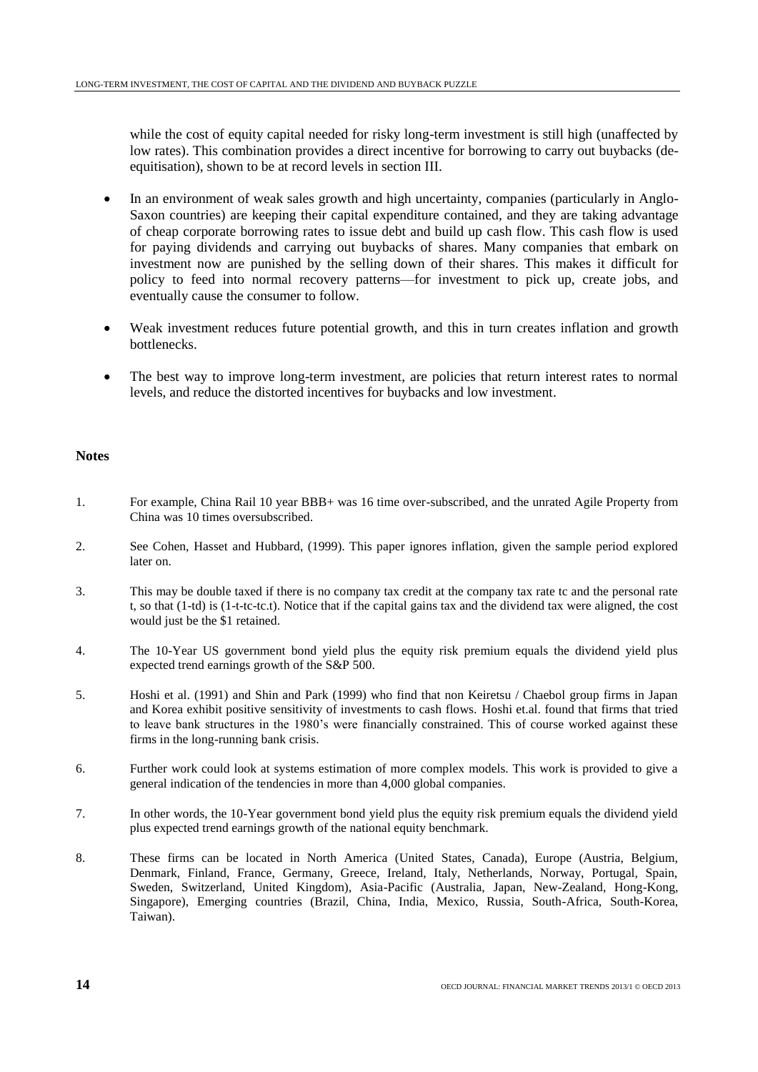while the cost of equity capital needed for risky long-term investment is still high (unaffected by low rates). This combination provides a direct incentive for borrowing to carry out buybacks (deequitisation), shown to be at record levels in section III.

- In an environment of weak sales growth and high uncertainty, companies (particularly in Anglo-Saxon countries) are keeping their capital expenditure contained, and they are taking advantage of cheap corporate borrowing rates to issue debt and build up cash flow. This cash flow is used for paying dividends and carrying out buybacks of shares. Many companies that embark on investment now are punished by the selling down of their shares. This makes it difficult for policy to feed into normal recovery patterns—for investment to pick up, create jobs, and eventually cause the consumer to follow.
- Weak investment reduces future potential growth, and this in turn creates inflation and growth bottlenecks.
- The best way to improve long-term investment, are policies that return interest rates to normal levels, and reduce the distorted incentives for buybacks and low investment.

## **Notes**

- 1. For example, China Rail 10 year BBB+ was 16 time over-subscribed, and the unrated Agile Property from China was 10 times oversubscribed.
- 2. See Cohen, Hasset and Hubbard, (1999). This paper ignores inflation, given the sample period explored later on.
- 3. This may be double taxed if there is no company tax credit at the company tax rate tc and the personal rate t, so that (1-td) is (1-t-tc-tc.t). Notice that if the capital gains tax and the dividend tax were aligned, the cost would just be the \$1 retained.
- 4. The 10-Year US government bond yield plus the equity risk premium equals the dividend yield plus expected trend earnings growth of the S&P 500.
- 5. Hoshi et al. (1991) and Shin and Park (1999) who find that non Keiretsu / Chaebol group firms in Japan and Korea exhibit positive sensitivity of investments to cash flows. Hoshi et.al. found that firms that tried to leave bank structures in the 1980's were financially constrained. This of course worked against these firms in the long-running bank crisis.
- 6. Further work could look at systems estimation of more complex models. This work is provided to give a general indication of the tendencies in more than 4,000 global companies.
- 7. In other words, the 10-Year government bond yield plus the equity risk premium equals the dividend yield plus expected trend earnings growth of the national equity benchmark.
- 8. These firms can be located in North America (United States, Canada), Europe (Austria, Belgium, Denmark, Finland, France, Germany, Greece, Ireland, Italy, Netherlands, Norway, Portugal, Spain, Sweden, Switzerland, United Kingdom), Asia-Pacific (Australia, Japan, New-Zealand, Hong-Kong, Singapore), Emerging countries (Brazil, China, India, Mexico, Russia, South-Africa, South-Korea, Taiwan).